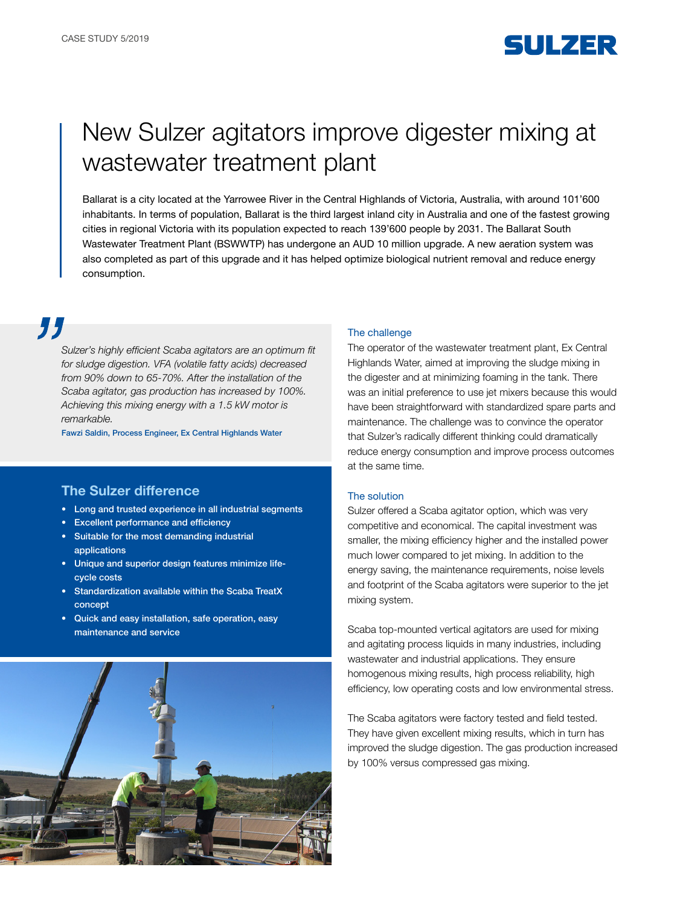

# New Sulzer agitators improve digester mixing at wastewater treatment plant

Ballarat is a city located at the Yarrowee River in the Central Highlands of Victoria, Australia, with around 101'600 inhabitants. In terms of population, Ballarat is the third largest inland city in Australia and one of the fastest growing cities in regional Victoria with its population expected to reach 139'600 people by 2031. The Ballarat South Wastewater Treatment Plant (BSWWTP) has undergone an AUD 10 million upgrade. A new aeration system was also completed as part of this upgrade and it has helped optimize biological nutrient removal and reduce energy consumption.

# 77

Sulzer's highly efficient Scaba agitators are an optimum fit for sludge digestion. VFA (volatile fatty acids) decreased from 90% down to 65-70%. After the installation of the Scaba agitator, gas production has increased by 100%. Achieving this mixing energy with a 1.5 kW motor is remarkable.

Fawzi Saldin, Process Engineer, Ex Central Highlands Water

## The Sulzer difference

- Long and trusted experience in all industrial segments
- Excellent performance and efficiency
- Suitable for the most demanding industrial applications
- Unique and superior design features minimize lifecycle costs
- Standardization available within the Scaba TreatX concept
- Quick and easy installation, safe operation, easy maintenance and service



#### The challenge

The operator of the wastewater treatment plant, Ex Central Highlands Water, aimed at improving the sludge mixing in the digester and at minimizing foaming in the tank. There was an initial preference to use jet mixers because this would have been straightforward with standardized spare parts and maintenance. The challenge was to convince the operator that Sulzer's radically different thinking could dramatically reduce energy consumption and improve process outcomes at the same time.

### The solution

Sulzer offered a Scaba agitator option, which was very competitive and economical. The capital investment was smaller, the mixing efficiency higher and the installed power much lower compared to jet mixing. In addition to the energy saving, the maintenance requirements, noise levels and footprint of the Scaba agitators were superior to the jet mixing system.

Scaba top-mounted vertical agitators are used for mixing and agitating process liquids in many industries, including wastewater and industrial applications. They ensure homogenous mixing results, high process reliability, high efficiency, low operating costs and low environmental stress.

The Scaba agitators were factory tested and field tested. They have given excellent mixing results, which in turn has improved the sludge digestion. The gas production increased by 100% versus compressed gas mixing.